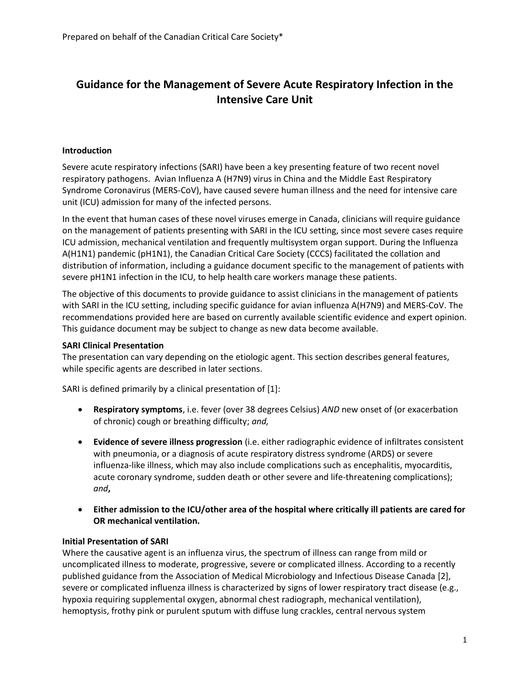# **Guidance for the Management of Severe Acute Respiratory Infection in the Intensive Care Unit**

## **Introduction**

Severe acute respiratory infections (SARI) have been a key presenting feature of two recent novel respiratory pathogens. Avian Influenza A (H7N9) virus in China and the Middle East Respiratory Syndrome Coronavirus (MERS-CoV), have caused severe human illness and the need for intensive care unit (ICU) admission for many of the infected persons.

In the event that human cases of these novel viruses emerge in Canada, clinicians will require guidance on the management of patients presenting with SARI in the ICU setting, since most severe cases require ICU admission, mechanical ventilation and frequently multisystem organ support. During the Influenza A(H1N1) pandemic (pH1N1), the Canadian Critical Care Society (CCCS) facilitated the collation and distribution of information, including a guidance document specific to the management of patients with severe pH1N1 infection in the ICU, to help health care workers manage these patients.

The objective of this documents to provide guidance to assist clinicians in the management of patients with SARI in the ICU setting, including specific guidance for avian influenza A(H7N9) and MERS-CoV. The recommendations provided here are based on currently available scientific evidence and expert opinion. This guidance document may be subject to change as new data become available.

## **SARI Clinical Presentation**

The presentation can vary depending on the etiologic agent. This section describes general features, while specific agents are described in later sections.

SARI is defined primarily by a clinical presentation of [1]:

- **Respiratory symptoms**, i.e. fever (over 38 degrees Celsius) *AND* new onset of (or exacerbation of chronic) cough or breathing difficulty; *and,*
- **Evidence of severe illness progression** (i.e. either radiographic evidence of infiltrates consistent with pneumonia, or a diagnosis of acute respiratory distress syndrome (ARDS) or severe influenza-like illness, which may also include complications such as encephalitis, myocarditis, acute coronary syndrome, sudden death or other severe and life-threatening complications); *and***,**
- **Either admission to the ICU/other area of the hospital where critically ill patients are cared for OR mechanical ventilation.**

## **Initial Presentation of SARI**

Where the causative agent is an influenza virus, the spectrum of illness can range from mild or uncomplicated illness to moderate, progressive, severe or complicated illness. According to a recently published guidance from the Association of Medical Microbiology and Infectious Disease Canada [2], severe or complicated influenza illness is characterized by signs of lower respiratory tract disease (e.g., hypoxia requiring supplemental oxygen, abnormal chest radiograph, mechanical ventilation), hemoptysis, frothy pink or purulent sputum with diffuse lung crackles, central nervous system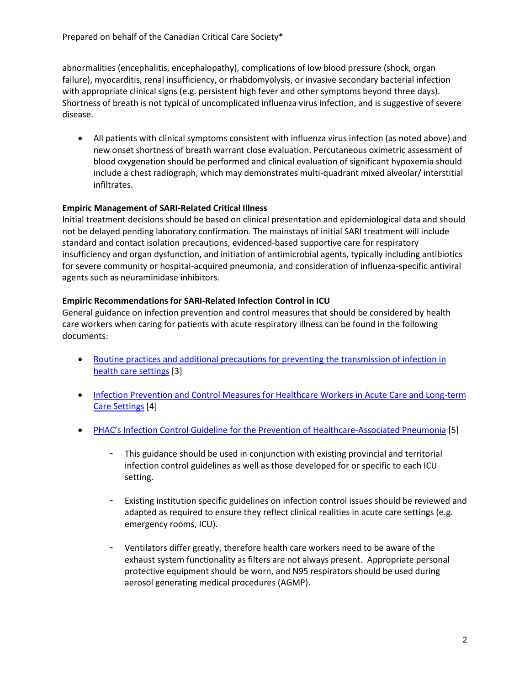abnormalities (encephalitis, encephalopathy), complications of low blood pressure (shock, organ failure), myocarditis, renal insufficiency, or rhabdomyolysis, or invasive secondary bacterial infection with appropriate clinical signs (e.g. persistent high fever and other symptoms beyond three days). Shortness of breath is not typical of uncomplicated influenza virus infection, and is suggestive of severe disease.

 All patients with clinical symptoms consistent with influenza virus infection (as noted above) and new onset shortness of breath warrant close evaluation. Percutaneous oximetric assessment of blood oxygenation should be performed and clinical evaluation of significant hypoxemia should include a chest radiograph, which may demonstrates multi-quadrant mixed alveolar/ interstitial infiltrates.

## **Empiric Management of SARI-Related Critical Illness**

Initial treatment decisions should be based on clinical presentation and epidemiological data and should not be delayed pending laboratory confirmation. The mainstays of initial SARI treatment will include standard and contact isolation precautions, evidenced-based supportive care for respiratory insufficiency and organ dysfunction, and initiation of antimicrobial agents, typically including antibiotics for severe community or hospital-acquired pneumonia, and consideration of influenza-specific antiviral agents such as neuraminidase inhibitors.

## **Empiric Recommendations for SARI-Related Infection Control in ICU**

General guidance on infection prevention and control measures that should be considered by health care workers when caring for patients with acute respiratory illness can be found in the following documents:

- Routine practices and additional precautions for preventing the transmission of infection in [health care settings](http://publications.gc.ca/collections/collection_2013/aspc-phac/HP40-83-2013-eng.pdf) [3]
- **Infection Prevention and Control Measures for Healthcare Workers in Acute Care and Long-term** [Care Settings](http://www.phac-aspc.gc.ca/nois-sinp/guide/ac-sa-eng.php) [4]
- [PHAC's Infection Control Guideline for the Prevention of Healthcare](http://publications.gc.ca/collections/collection_2012/aspc-phac/HP40-54-2010-eng.pdf)-Associated Pneumonia [5]
	- This guidance should be used in conjunction with existing provincial and territorial infection control guidelines as well as those developed for or specific to each ICU setting.
	- Existing institution specific guidelines on infection control issues should be reviewed and adapted as required to ensure they reflect clinical realities in acute care settings (e.g. emergency rooms, ICU).
	- Ventilators differ greatly, therefore health care workers need to be aware of the exhaust system functionality as filters are not always present. Appropriate personal protective equipment should be worn, and N95 respirators should be used during aerosol generating medical procedures (AGMP).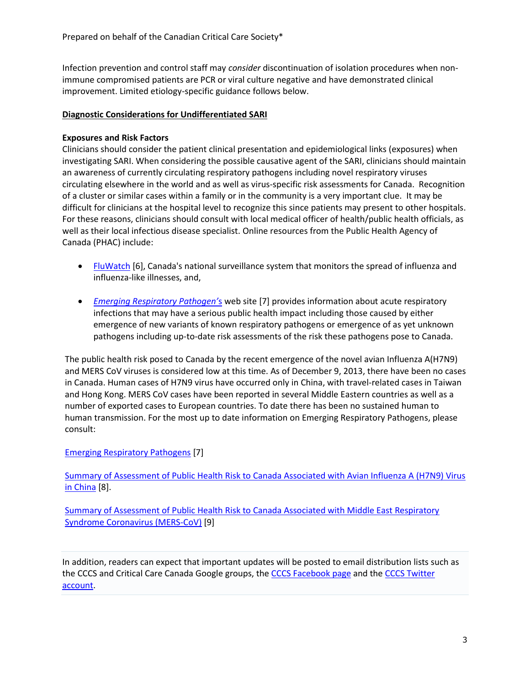Infection prevention and control staff may *consider* discontinuation of isolation procedures when nonimmune compromised patients are PCR or viral culture negative and have demonstrated clinical improvement. Limited etiology-specific guidance follows below.

## **Diagnostic Considerations for Undifferentiated SARI**

## **Exposures and Risk Factors**

Clinicians should consider the patient clinical presentation and epidemiological links (exposures) when investigating SARI. When considering the possible causative agent of the SARI, clinicians should maintain an awareness of currently circulating respiratory pathogens including novel respiratory viruses circulating elsewhere in the world and as well as virus-specific risk assessments for Canada. Recognition of a cluster or similar cases within a family or in the community is a very important clue. It may be difficult for clinicians at the hospital level to recognize this since patients may present to other hospitals. For these reasons, clinicians should consult with local medical officer of health/public health officials, as well as their local infectious disease specialist. Online resources from the Public Health Agency of Canada (PHAC) include:

- [FluWatch](http://www.phac-aspc.gc.ca/fluwatch/13-14/index-eng.php) [6], Canada's national surveillance system that monitors the spread of influenza and influenza-like illnesses, and,
- *[Emerging Respiratory](http://www.phac-aspc.gc.ca/eri-ire/index-eng.php) Pathogen'*s web site [7] provides information about acute respiratory infections that may have a serious public health impact including those caused by either emergence of new variants of known respiratory pathogens or emergence of as yet unknown pathogens including up-to-date risk assessments of the risk these pathogens pose to Canada.

The public health risk posed to Canada by the recent emergence of the novel avian Influenza A(H7N9) and MERS CoV viruses is considered low at this time. As of December 9, 2013, there have been no cases in Canada. Human cases of H7N9 virus have occurred only in China, with travel-related cases in Taiwan and Hong Kong. MERS CoV cases have been reported in several Middle Eastern countries as well as a number of exported cases to European countries. To date there has been no sustained human to human transmission. For the most up to date information on Emerging Respiratory Pathogens, please consult:

# [Emerging Respiratory Pathogens](http://www.phac-aspc.gc.ca/eri-ire/index-eng.php) [7]

[Summary of Assessment of Public Health Risk to Canada Associated with Avian Influenza A \(H7N9\) Virus](http://www.phac-aspc.gc.ca/eri-ire/h7n9/risk_assessment-evaluation_risque-eng.php)  [in China](http://www.phac-aspc.gc.ca/eri-ire/h7n9/risk_assessment-evaluation_risque-eng.php) [8].

[Summary of Assessment of Public Health Risk to Canada Associated with Middle East Respiratory](http://www.phac-aspc.gc.ca/eri-ire/coronavirus/risk_assessment-evaluation_risque-eng.php)  [Syndrome Coronavirus \(MERS-CoV\)](http://www.phac-aspc.gc.ca/eri-ire/coronavirus/risk_assessment-evaluation_risque-eng.php) [9]

In addition, readers can expect that important updates will be posted to email distribution lists such as the CCCS and Critical Care Canada Google groups, th[e CCCS Facebook page](https://www.facebook.com/pages/CCCS-Canadian-Critical-Care-Society/269898849687697) and the CCCS Twitter [account.](https://twitter.com/CritCareSociety)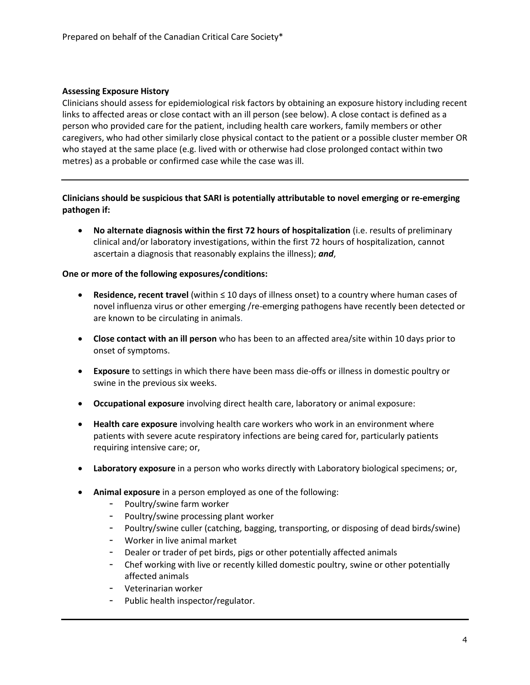## **Assessing Exposure History**

Clinicians should assess for epidemiological risk factors by obtaining an exposure history including recent links to affected areas or close contact with an ill person (see below). A close contact is defined as a person who provided care for the patient, including health care workers, family members or other caregivers, who had other similarly close physical contact to the patient or a possible cluster member OR who stayed at the same place (e.g. lived with or otherwise had close prolonged contact within two metres) as a probable or confirmed case while the case was ill.

# **Clinicians should be suspicious that SARI is potentially attributable to novel emerging or re-emerging pathogen if:**

 **No alternate diagnosis within the first 72 hours of hospitalization** (i.e. results of preliminary clinical and/or laboratory investigations, within the first 72 hours of hospitalization, cannot ascertain a diagnosis that reasonably explains the illness); *and*,

## **One or more of the following exposures/conditions:**

- **Residence, recent travel** (within ≤ 10 days of illness onset) to a country where human cases of novel influenza virus or other emerging /re-emerging pathogens have recently been detected or are known to be circulating in animals.
- **Close contact with an ill person** who has been to an affected area/site within 10 days prior to onset of symptoms.
- **Exposure** to settings in which there have been mass die-offs or illness in domestic poultry or swine in the previous six weeks.
- **Occupational exposure** involving direct health care, laboratory or animal exposure:
- **Health care exposure** involving health care workers who work in an environment where patients with severe acute respiratory infections are being cared for, particularly patients requiring intensive care; or,
- **Laboratory exposure** in a person who works directly with Laboratory biological specimens; or,
- **Animal exposure** in a person employed as one of the following:
	- Poultry/swine farm worker
	- Poultry/swine processing plant worker
	- Poultry/swine culler (catching, bagging, transporting, or disposing of dead birds/swine)
	- Worker in live animal market
	- Dealer or trader of pet birds, pigs or other potentially affected animals
	- Chef working with live or recently killed domestic poultry, swine or other potentially affected animals
	- Veterinarian worker
	- Public health inspector/regulator.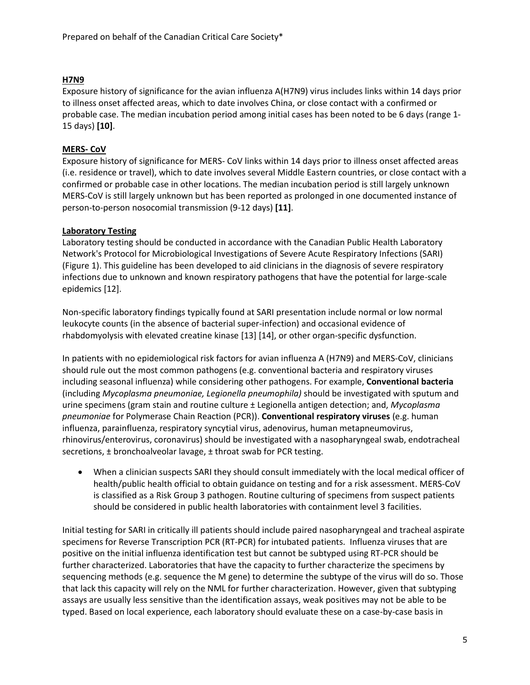# **H7N9**

Exposure history of significance for the avian influenza A(H7N9) virus includes links within 14 days prior to illness onset affected areas, which to date involves China, or close contact with a confirmed or probable case. The median incubation period among initial cases has been noted to be 6 days (range 1- 15 days) **[10]**.

## **MERS- CoV**

Exposure history of significance for MERS- CoV links within 14 days prior to illness onset affected areas (i.e. residence or travel), which to date involves several Middle Eastern countries, or close contact with a confirmed or probable case in other locations. The median incubation period is still largely unknown MERS-CoV is still largely unknown but has been reported as prolonged in one documented instance of person-to-person nosocomial transmission (9-12 days) **[11]**.

## **Laboratory Testing**

Laboratory testing should be conducted in accordance with the Canadian Public Health Laboratory Network's Protocol for Microbiological Investigations of Severe Acute Respiratory Infections (SARI) (Figure 1). This guideline has been developed to aid clinicians in the diagnosis of severe respiratory infections due to unknown and known respiratory pathogens that have the potential for large-scale epidemics [12].

Non-specific laboratory findings typically found at SARI presentation include normal or low normal leukocyte counts (in the absence of bacterial super-infection) and occasional evidence of rhabdomyolysis with elevated creatine kinase [13] [14], or other organ-specific dysfunction.

In patients with no epidemiological risk factors for avian influenza A (H7N9) and MERS-CoV, clinicians should rule out the most common pathogens (e.g. conventional bacteria and respiratory viruses including seasonal influenza) while considering other pathogens. For example, **Conventional bacteria** (including *Mycoplasma pneumoniae, Legionella pneumophila)* should be investigated with sputum and urine specimens (gram stain and routine culture ± Legionella antigen detection; and, *Mycoplasma pneumoniae* for Polymerase Chain Reaction (PCR)). **Conventional respiratory viruses** (e.g. human influenza, parainfluenza, respiratory syncytial virus, adenovirus, human metapneumovirus, rhinovirus/enterovirus, coronavirus) should be investigated with a nasopharyngeal swab, endotracheal secretions, ± bronchoalveolar lavage, ± throat swab for PCR testing.

 When a clinician suspects SARI they should consult immediately with the local medical officer of health/public health official to obtain guidance on testing and for a risk assessment. MERS-CoV is classified as a Risk Group 3 pathogen. Routine culturing of specimens from suspect patients should be considered in public health laboratories with containment level 3 facilities.

Initial testing for SARI in critically ill patients should include paired nasopharyngeal and tracheal aspirate specimens for Reverse Transcription PCR (RT-PCR) for intubated patients. Influenza viruses that are positive on the initial influenza identification test but cannot be subtyped using RT-PCR should be further characterized. Laboratories that have the capacity to further characterize the specimens by sequencing methods (e.g. sequence the M gene) to determine the subtype of the virus will do so. Those that lack this capacity will rely on the NML for further characterization. However, given that subtyping assays are usually less sensitive than the identification assays, weak positives may not be able to be typed. Based on local experience, each laboratory should evaluate these on a case-by-case basis in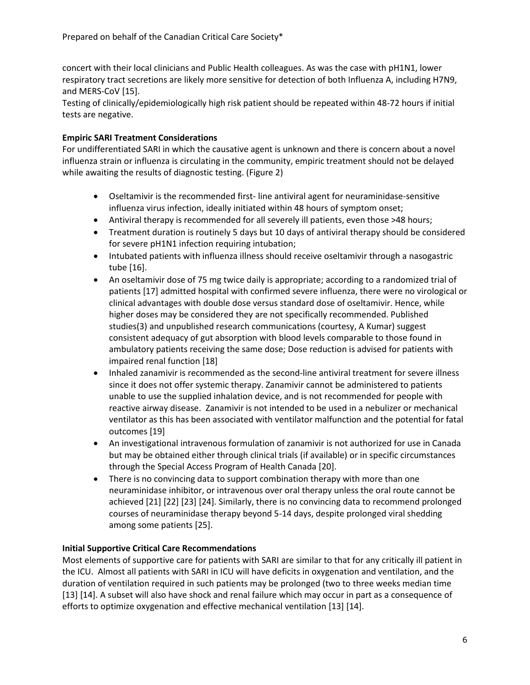concert with their local clinicians and Public Health colleagues. As was the case with pH1N1, lower respiratory tract secretions are likely more sensitive for detection of both Influenza A, including H7N9, and MERS-CoV [15].

Testing of clinically/epidemiologically high risk patient should be repeated within 48-72 hours if initial tests are negative.

# **Empiric SARI Treatment Considerations**

For undifferentiated SARI in which the causative agent is unknown and there is concern about a novel influenza strain or influenza is circulating in the community, empiric treatment should not be delayed while awaiting the results of diagnostic testing. (Figure 2)

- Oseltamivir is the recommended first- line antiviral agent for neuraminidase-sensitive influenza virus infection, ideally initiated within 48 hours of symptom onset;
- Antiviral therapy is recommended for all severely ill patients, even those >48 hours;
- Treatment duration is routinely 5 days but 10 days of antiviral therapy should be considered for severe pH1N1 infection requiring intubation;
- Intubated patients with influenza illness should receive oseltamivir through a nasogastric tube [16].
- An oseltamivir dose of 75 mg twice daily is appropriate; according to a randomized trial of patients [17] admitted hospital with confirmed severe influenza, there were no virological or clinical advantages with double dose versus standard dose of oseltamivir. Hence, while higher doses may be considered they are not specifically recommended. Published studies(3) and unpublished research communications (courtesy, A Kumar) suggest consistent adequacy of gut absorption with blood levels comparable to those found in ambulatory patients receiving the same dose; Dose reduction is advised for patients with impaired renal function [18]
- Inhaled zanamivir is recommended as the second-line antiviral treatment for severe illness since it does not offer systemic therapy. Zanamivir cannot be administered to patients unable to use the supplied inhalation device, and is not recommended for people with reactive airway disease. Zanamivir is not intended to be used in a nebulizer or mechanical ventilator as this has been associated with ventilator malfunction and the potential for fatal outcomes [19]
- An investigational intravenous formulation of zanamivir is not authorized for use in Canada but may be obtained either through clinical trials (if available) or in specific circumstances through the Special Access Program of Health Canada [20].
- There is no convincing data to support combination therapy with more than one neuraminidase inhibitor, or intravenous over oral therapy unless the oral route cannot be achieved [21] [22] [23] [24]. Similarly, there is no convincing data to recommend prolonged courses of neuraminidase therapy beyond 5-14 days, despite prolonged viral shedding among some patients [25].

## **Initial Supportive Critical Care Recommendations**

Most elements of supportive care for patients with SARI are similar to that for any critically ill patient in the ICU. Almost all patients with SARI in ICU will have deficits in oxygenation and ventilation, and the duration of ventilation required in such patients may be prolonged (two to three weeks median time [13] [14]. A subset will also have shock and renal failure which may occur in part as a consequence of efforts to optimize oxygenation and effective mechanical ventilation [13] [14].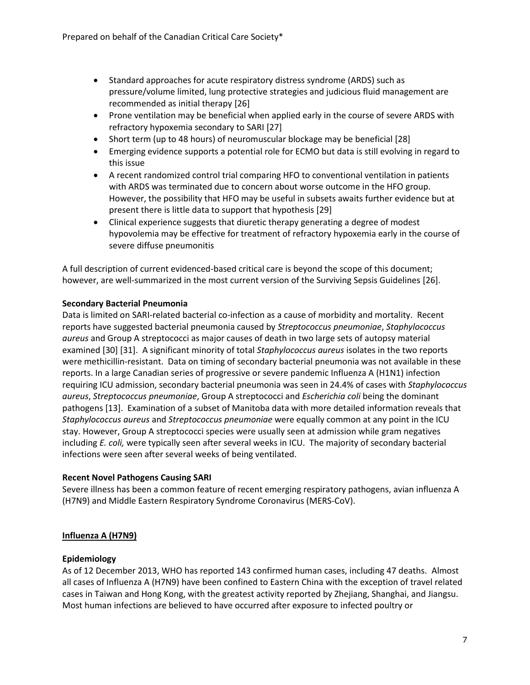- Standard approaches for acute respiratory distress syndrome (ARDS) such as pressure/volume limited, lung protective strategies and judicious fluid management are recommended as initial therapy [26]
- Prone ventilation may be beneficial when applied early in the course of severe ARDS with refractory hypoxemia secondary to SARI [27]
- Short term (up to 48 hours) of neuromuscular blockage may be beneficial [28]
- Emerging evidence supports a potential role for ECMO but data is still evolving in regard to this issue
- A recent randomized control trial comparing HFO to conventional ventilation in patients with ARDS was terminated due to concern about worse outcome in the HFO group. However, the possibility that HFO may be useful in subsets awaits further evidence but at present there is little data to support that hypothesis [29]
- Clinical experience suggests that diuretic therapy generating a degree of modest hypovolemia may be effective for treatment of refractory hypoxemia early in the course of severe diffuse pneumonitis

A full description of current evidenced-based critical care is beyond the scope of this document; however, are well-summarized in the most current version of the Surviving Sepsis Guidelines [26].

## **Secondary Bacterial Pneumonia**

Data is limited on SARI-related bacterial co-infection as a cause of morbidity and mortality. Recent reports have suggested bacterial pneumonia caused by *Streptococcus pneumoniae*, *Staphylococcus aureus* and Group A streptococci as major causes of death in two large sets of autopsy material examined [30] [31]. A significant minority of total *Staphylococcus aureus* isolates in the two reports were methicillin-resistant. Data on timing of secondary bacterial pneumonia was not available in these reports. In a large Canadian series of progressive or severe pandemic Influenza A (H1N1) infection requiring ICU admission, secondary bacterial pneumonia was seen in 24.4% of cases with *Staphylococcus aureus*, *Streptococcus pneumoniae*, Group A streptococci and *Escherichia coli* being the dominant pathogens [13]. Examination of a subset of Manitoba data with more detailed information reveals that *Staphylococcus aureus* and *Streptococcus pneumoniae* were equally common at any point in the ICU stay. However, Group A streptococci species were usually seen at admission while gram negatives including *E. coli,* were typically seen after several weeks in ICU. The majority of secondary bacterial infections were seen after several weeks of being ventilated.

## **Recent Novel Pathogens Causing SARI**

Severe illness has been a common feature of recent emerging respiratory pathogens, avian influenza A (H7N9) and Middle Eastern Respiratory Syndrome Coronavirus (MERS-CoV).

# **Influenza A (H7N9)**

## **Epidemiology**

As of 12 December 2013, WHO has reported 143 confirmed human cases, including 47 deaths. Almost all cases of Influenza A (H7N9) have been confined to Eastern China with the exception of travel related cases in Taiwan and Hong Kong, with the greatest activity reported by Zhejiang, Shanghai, and Jiangsu. Most human infections are believed to have occurred after exposure to infected poultry or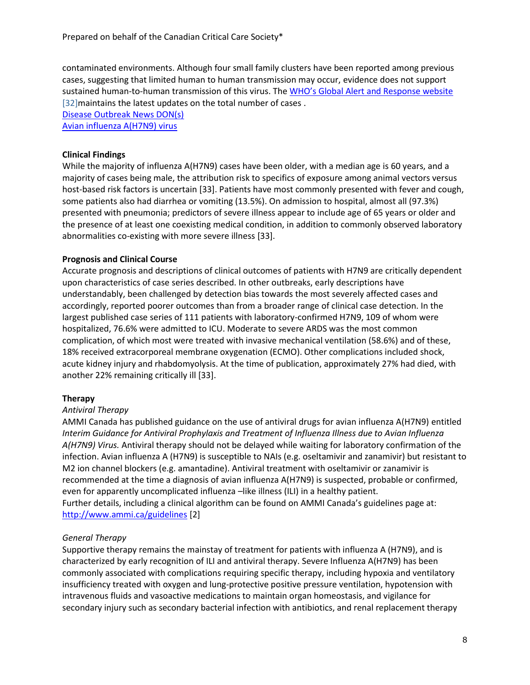contaminated environments. Although four small family clusters have been reported among previous cases, suggesting that limited human to human transmission may occur, evidence does not support sustained human-to-human transmission of this virus. The [WHO's Global Alert and Response website](http://www.who.int/csr/outbreaknetwork/en/) [32] maintains the latest updates on the total number of cases. [Disease Outbreak News DON\(s\)](http://www.who.int/csr/don/en/)

[Avian influenza A\(H7N9\) virus](http://www.who.int/influenza/human_animal_interface/influenza_h7n9/en/index.html)

## **Clinical Findings**

While the majority of influenza A(H7N9) cases have been older, with a median age is 60 years, and a majority of cases being male, the attribution risk to specifics of exposure among animal vectors versus host-based risk factors is uncertain [33]. Patients have most commonly presented with fever and cough, some patients also had diarrhea or vomiting (13.5%). On admission to hospital, almost all (97.3%) presented with pneumonia; predictors of severe illness appear to include age of 65 years or older and the presence of at least one coexisting medical condition, in addition to commonly observed laboratory abnormalities co-existing with more severe illness [33].

## **Prognosis and Clinical Course**

Accurate prognosis and descriptions of clinical outcomes of patients with H7N9 are critically dependent upon characteristics of case series described. In other outbreaks, early descriptions have understandably, been challenged by detection bias towards the most severely affected cases and accordingly, reported poorer outcomes than from a broader range of clinical case detection. In the largest published case series of 111 patients with laboratory-confirmed H7N9, 109 of whom were hospitalized, 76.6% were admitted to ICU. Moderate to severe ARDS was the most common complication, of which most were treated with invasive mechanical ventilation (58.6%) and of these, 18% received extracorporeal membrane oxygenation (ECMO). Other complications included shock, acute kidney injury and rhabdomyolysis. At the time of publication, approximately 27% had died, with another 22% remaining critically ill [33].

## **Therapy**

## *Antiviral Therapy*

AMMI Canada has published guidance on the use of antiviral drugs for avian influenza A(H7N9) entitled *Interim Guidance for Antiviral Prophylaxis and Treatment of Influenza Illness due to Avian Influenza A(H7N9) Virus.* Antiviral therapy should not be delayed while waiting for laboratory confirmation of the infection. Avian influenza A (H7N9) is susceptible to NAIs (e.g. oseltamivir and zanamivir) but resistant to M2 ion channel blockers (e.g. amantadine). Antiviral treatment with oseltamivir or zanamivir is recommended at the time a diagnosis of avian influenza A(H7N9) is suspected, probable or confirmed, even for apparently uncomplicated influenza –like illness (ILI) in a healthy patient. Further details, including a clinical algorithm can be found on AMMI Canada's guidelines page at: <http://www.ammi.ca/guidelines> [2]

# *General Therapy*

Supportive therapy remains the mainstay of treatment for patients with influenza A (H7N9), and is characterized by early recognition of ILI and antiviral therapy. Severe Influenza A(H7N9) has been commonly associated with complications requiring specific therapy, including hypoxia and ventilatory insufficiency treated with oxygen and lung-protective positive pressure ventilation, hypotension with intravenous fluids and vasoactive medications to maintain organ homeostasis, and vigilance for secondary injury such as secondary bacterial infection with antibiotics, and renal replacement therapy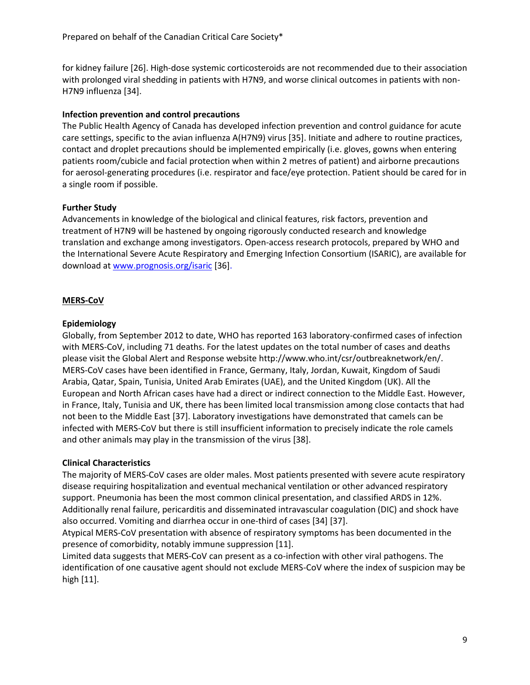for kidney failure [26]. High-dose systemic corticosteroids are not recommended due to their association with prolonged viral shedding in patients with H7N9, and worse clinical outcomes in patients with non-H7N9 influenza [34].

## **Infection prevention and control precautions**

The Public Health Agency of Canada has developed infection prevention and control guidance for acute care settings, specific to the avian influenza A(H7N9) virus [35]. Initiate and adhere to routine practices, contact and droplet precautions should be implemented empirically (i.e. gloves, gowns when entering patients room/cubicle and facial protection when within 2 metres of patient) and airborne precautions for aerosol-generating procedures (i.e. respirator and face/eye protection. Patient should be cared for in a single room if possible.

## **Further Study**

Advancements in knowledge of the biological and clinical features, risk factors, prevention and treatment of H7N9 will be hastened by ongoing rigorously conducted research and knowledge translation and exchange among investigators. Open-access research protocols, prepared by WHO and the International Severe Acute Respiratory and Emerging Infection Consortium (ISARIC), are available for download at [www.prognosis.org/isaric](http://www.prognosis.org/isaric) [36].

# **MERS-CoV**

## **Epidemiology**

Globally, from September 2012 to date, WHO has reported 163 laboratory-confirmed cases of infection with MERS-CoV, including 71 deaths. For the latest updates on the total number of cases and deaths please visit the Global Alert and Response website http://www.who.int/csr/outbreaknetwork/en/. MERS-CoV cases have been identified in France, Germany, Italy, Jordan, Kuwait, Kingdom of Saudi Arabia, Qatar, Spain, Tunisia, United Arab Emirates (UAE), and the United Kingdom (UK). All the European and North African cases have had a direct or indirect connection to the Middle East. However, in France, Italy, Tunisia and UK, there has been limited local transmission among close contacts that had not been to the Middle East [37]. Laboratory investigations have demonstrated that camels can be infected with MERS-CoV but there is still insufficient information to precisely indicate the role camels and other animals may play in the transmission of the virus [38].

## **Clinical Characteristics**

The majority of MERS-CoV cases are older males. Most patients presented with severe acute respiratory disease requiring hospitalization and eventual mechanical ventilation or other advanced respiratory support. Pneumonia has been the most common clinical presentation, and classified ARDS in 12%. Additionally renal failure, pericarditis and disseminated intravascular coagulation (DIC) and shock have also occurred. Vomiting and diarrhea occur in one-third of cases [34] [37].

Atypical MERS-CoV presentation with absence of respiratory symptoms has been documented in the presence of comorbidity, notably immune suppression [11].

Limited data suggests that MERS-CoV can present as a co-infection with other viral pathogens. The identification of one causative agent should not exclude MERS-CoV where the index of suspicion may be high [11].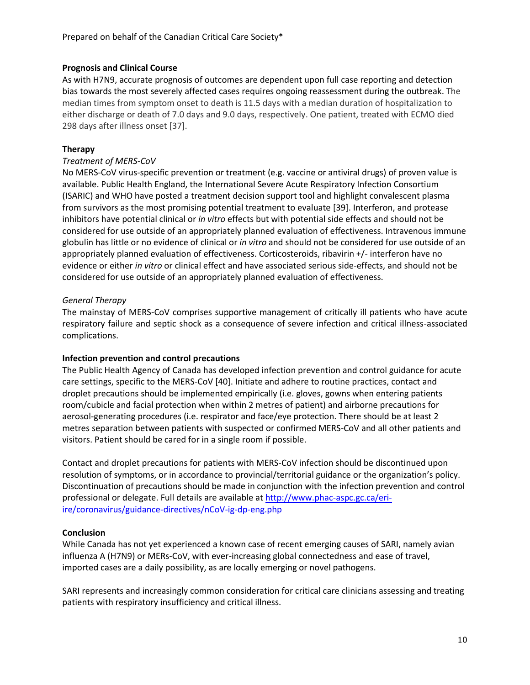## **Prognosis and Clinical Course**

As with H7N9, accurate prognosis of outcomes are dependent upon full case reporting and detection bias towards the most severely affected cases requires ongoing reassessment during the outbreak. The median times from symptom onset to death is 11.5 days with a median duration of hospitalization to either discharge or death of 7.0 days and 9.0 days, respectively. One patient, treated with ECMO died 298 days after illness onset [37].

# **Therapy**

## *Treatment of MERS-CoV*

No MERS-CoV virus-specific prevention or treatment (e.g. vaccine or antiviral drugs) of proven value is available. Public Health England, the International Severe Acute Respiratory Infection Consortium (ISARIC) and WHO have posted a treatment decision support tool and highlight convalescent plasma from survivors as the most promising potential treatment to evaluate [39]. Interferon, and protease inhibitors have potential clinical or *in vitro* effects but with potential side effects and should not be considered for use outside of an appropriately planned evaluation of effectiveness. Intravenous immune globulin has little or no evidence of clinical or *in vitro* and should not be considered for use outside of an appropriately planned evaluation of effectiveness. Corticosteroids, ribavirin +/- interferon have no evidence or either *in vitro* or clinical effect and have associated serious side-effects, and should not be considered for use outside of an appropriately planned evaluation of effectiveness.

## *General Therapy*

The mainstay of MERS-CoV comprises supportive management of critically ill patients who have acute respiratory failure and septic shock as a consequence of severe infection and critical illness-associated complications.

## **Infection prevention and control precautions**

The Public Health Agency of Canada has developed infection prevention and control guidance for acute care settings, specific to the MERS-CoV [40]. Initiate and adhere to routine practices, contact and droplet precautions should be implemented empirically (i.e. gloves, gowns when entering patients room/cubicle and facial protection when within 2 metres of patient) and airborne precautions for aerosol-generating procedures (i.e. respirator and face/eye protection. There should be at least 2 metres separation between patients with suspected or confirmed MERS-CoV and all other patients and visitors. Patient should be cared for in a single room if possible.

Contact and droplet precautions for patients with MERS-CoV infection should be discontinued upon resolution of symptoms, or in accordance to provincial/territorial guidance or the organization's policy. Discontinuation of precautions should be made in conjunction with the infection prevention and control professional or delegate. Full details are available a[t http://www.phac-aspc.gc.ca/eri](http://www.phac-aspc.gc.ca/eri-ire/coronavirus/guidance-directives/nCoV-ig-dp-eng.php)[ire/coronavirus/guidance-directives/nCoV-ig-dp-eng.php](http://www.phac-aspc.gc.ca/eri-ire/coronavirus/guidance-directives/nCoV-ig-dp-eng.php)

## **Conclusion**

While Canada has not yet experienced a known case of recent emerging causes of SARI, namely avian influenza A (H7N9) or MERs-CoV, with ever-increasing global connectedness and ease of travel, imported cases are a daily possibility, as are locally emerging or novel pathogens.

SARI represents and increasingly common consideration for critical care clinicians assessing and treating patients with respiratory insufficiency and critical illness.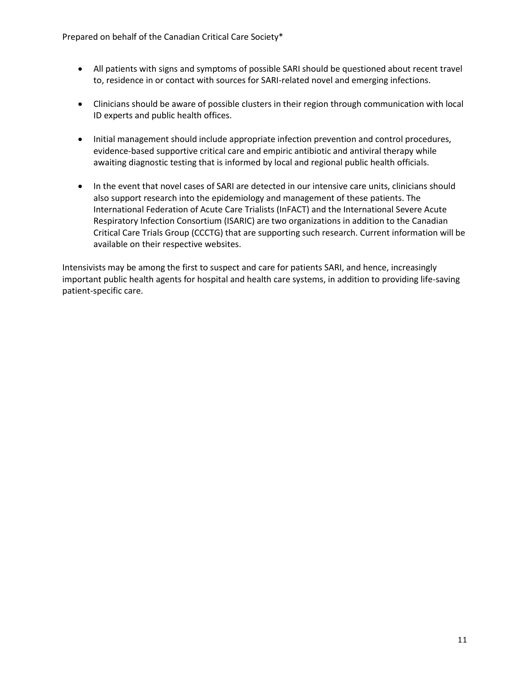- All patients with signs and symptoms of possible SARI should be questioned about recent travel to, residence in or contact with sources for SARI-related novel and emerging infections.
- Clinicians should be aware of possible clusters in their region through communication with local ID experts and public health offices.
- Initial management should include appropriate infection prevention and control procedures, evidence-based supportive critical care and empiric antibiotic and antiviral therapy while awaiting diagnostic testing that is informed by local and regional public health officials.
- In the event that novel cases of SARI are detected in our intensive care units, clinicians should also support research into the epidemiology and management of these patients. The International Federation of Acute Care Trialists (InFACT) and the International Severe Acute Respiratory Infection Consortium (ISARIC) are two organizations in addition to the Canadian Critical Care Trials Group (CCCTG) that are supporting such research. Current information will be available on their respective websites.

Intensivists may be among the first to suspect and care for patients SARI, and hence, increasingly important public health agents for hospital and health care systems, in addition to providing life-saving patient-specific care.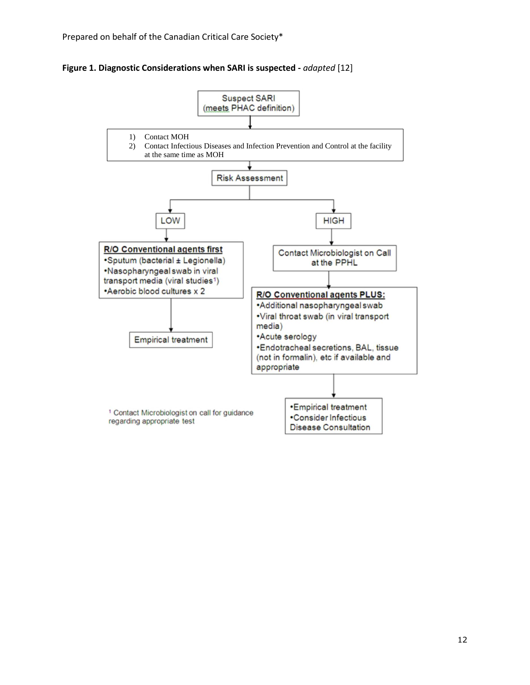**Figure 1. Diagnostic Considerations when SARI is suspected -** *adapted* [12]

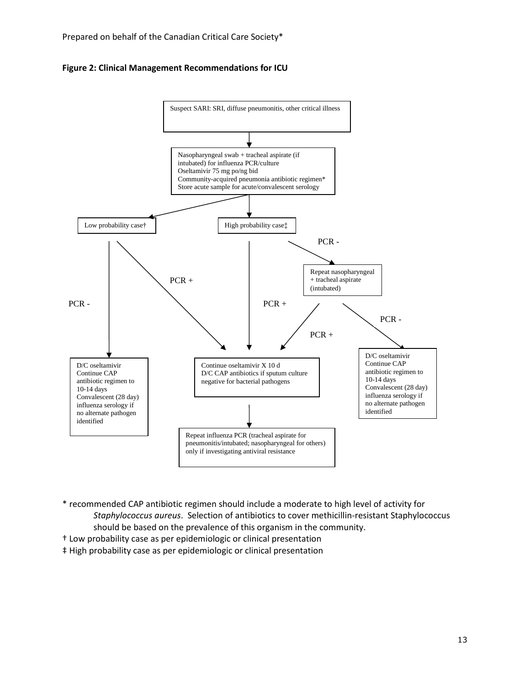



\* recommended CAP antibiotic regimen should include a moderate to high level of activity for *Staphylococcus aureus*. Selection of antibiotics to cover methicillin-resistant Staphylococcus should be based on the prevalence of this organism in the community.

- † Low probability case as per epidemiologic or clinical presentation
- ‡ High probability case as per epidemiologic or clinical presentation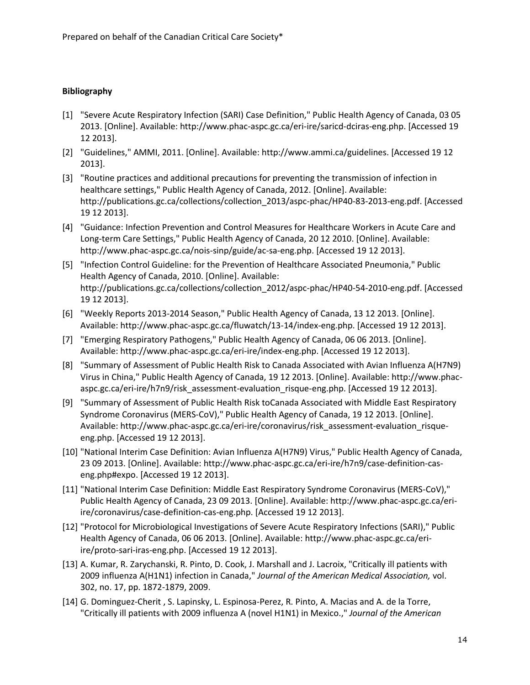# **Bibliography**

- [1] "Severe Acute Respiratory Infection (SARI) Case Definition," Public Health Agency of Canada, 03 05 2013. [Online]. Available: http://www.phac-aspc.gc.ca/eri-ire/saricd-dciras-eng.php. [Accessed 19 12 2013].
- [2] "Guidelines," AMMI, 2011. [Online]. Available: http://www.ammi.ca/guidelines. [Accessed 19 12 2013].
- [3] "Routine practices and additional precautions for preventing the transmission of infection in healthcare settings," Public Health Agency of Canada, 2012. [Online]. Available: http://publications.gc.ca/collections/collection\_2013/aspc-phac/HP40-83-2013-eng.pdf. [Accessed 19 12 2013].
- [4] "Guidance: Infection Prevention and Control Measures for Healthcare Workers in Acute Care and Long-term Care Settings," Public Health Agency of Canada, 20 12 2010. [Online]. Available: http://www.phac-aspc.gc.ca/nois-sinp/guide/ac-sa-eng.php. [Accessed 19 12 2013].
- [5] "Infection Control Guideline: for the Prevention of Healthcare Associated Pneumonia," Public Health Agency of Canada, 2010. [Online]. Available: http://publications.gc.ca/collections/collection\_2012/aspc-phac/HP40-54-2010-eng.pdf. [Accessed 19 12 2013].
- [6] "Weekly Reports 2013-2014 Season," Public Health Agency of Canada, 13 12 2013. [Online]. Available: http://www.phac-aspc.gc.ca/fluwatch/13-14/index-eng.php. [Accessed 19 12 2013].
- [7] "Emerging Respiratory Pathogens," Public Health Agency of Canada, 06 06 2013. [Online]. Available: http://www.phac-aspc.gc.ca/eri-ire/index-eng.php. [Accessed 19 12 2013].
- [8] "Summary of Assessment of Public Health Risk to Canada Associated with Avian Influenza A(H7N9) Virus in China," Public Health Agency of Canada, 19 12 2013. [Online]. Available: http://www.phacaspc.gc.ca/eri-ire/h7n9/risk\_assessment-evaluation\_risque-eng.php. [Accessed 19 12 2013].
- [9] "Summary of Assessment of Public Health Risk toCanada Associated with Middle East Respiratory Syndrome Coronavirus (MERS-CoV)," Public Health Agency of Canada, 19 12 2013. [Online]. Available: http://www.phac-aspc.gc.ca/eri-ire/coronavirus/risk\_assessment-evaluation\_risqueeng.php. [Accessed 19 12 2013].
- [10] "National Interim Case Definition: Avian Influenza A(H7N9) Virus," Public Health Agency of Canada, 23 09 2013. [Online]. Available: http://www.phac-aspc.gc.ca/eri-ire/h7n9/case-definition-caseng.php#expo. [Accessed 19 12 2013].
- [11] "National Interim Case Definition: Middle East Respiratory Syndrome Coronavirus (MERS-CoV)," Public Health Agency of Canada, 23 09 2013. [Online]. Available: http://www.phac-aspc.gc.ca/eriire/coronavirus/case-definition-cas-eng.php. [Accessed 19 12 2013].
- [12] "Protocol for Microbiological Investigations of Severe Acute Respiratory Infections (SARI)," Public Health Agency of Canada, 06 06 2013. [Online]. Available: http://www.phac-aspc.gc.ca/eriire/proto-sari-iras-eng.php. [Accessed 19 12 2013].
- [13] A. Kumar, R. Zarychanski, R. Pinto, D. Cook, J. Marshall and J. Lacroix, "Critically ill patients with 2009 influenza A(H1N1) infection in Canada," *Journal of the American Medical Association,* vol. 302, no. 17, pp. 1872-1879, 2009.
- [14] G. Dominguez-Cherit , S. Lapinsky, L. Espinosa-Perez, R. Pinto, A. Macias and A. de la Torre, "Critically ill patients with 2009 influenza A (novel H1N1) in Mexico.," *Journal of the American*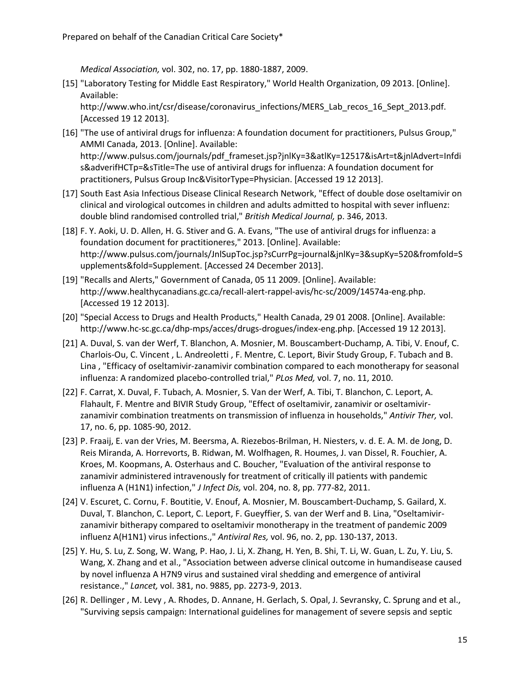*Medical Association,* vol. 302, no. 17, pp. 1880-1887, 2009.

[15] "Laboratory Testing for Middle East Respiratory," World Health Organization, 09 2013. [Online]. Available:

http://www.who.int/csr/disease/coronavirus\_infections/MERS\_Lab\_recos\_16\_Sept\_2013.pdf. [Accessed 19 12 2013].

- [16] "The use of antiviral drugs for influenza: A foundation document for practitioners, Pulsus Group," AMMI Canada, 2013. [Online]. Available: http://www.pulsus.com/journals/pdf\_frameset.jsp?jnlKy=3&atlKy=12517&isArt=t&jnlAdvert=Infdi s&adverifHCTp=&sTitle=The use of antiviral drugs for influenza: A foundation document for practitioners, Pulsus Group Inc&VisitorType=Physician. [Accessed 19 12 2013].
- [17] South East Asia Infectious Disease Clinical Research Network, "Effect of double dose oseltamivir on clinical and virological outcomes in children and adults admitted to hospital with sever influenz: double blind randomised controlled trial," *British Medical Journal,* p. 346, 2013.
- [18] F. Y. Aoki, U. D. Allen, H. G. Stiver and G. A. Evans, "The use of antiviral drugs for influenza: a foundation document for practitioneres," 2013. [Online]. Available: http://www.pulsus.com/journals/JnlSupToc.jsp?sCurrPg=journal&jnlKy=3&supKy=520&fromfold=S upplements&fold=Supplement. [Accessed 24 December 2013].
- [19] "Recalls and Alerts," Government of Canada, 05 11 2009. [Online]. Available: http://www.healthycanadians.gc.ca/recall-alert-rappel-avis/hc-sc/2009/14574a-eng.php. [Accessed 19 12 2013].
- [20] "Special Access to Drugs and Health Products," Health Canada, 29 01 2008. [Online]. Available: http://www.hc-sc.gc.ca/dhp-mps/acces/drugs-drogues/index-eng.php. [Accessed 19 12 2013].
- [21] A. Duval, S. van der Werf, T. Blanchon, A. Mosnier, M. Bouscambert-Duchamp, A. Tibi, V. Enouf, C. Charlois-Ou, C. Vincent , L. Andreoletti , F. Mentre, C. Leport, Bivir Study Group, F. Tubach and B. Lina , "Efficacy of oseltamivir-zanamivir combination compared to each monotherapy for seasonal influenza: A randomized placebo-controlled trial," *PLos Med,* vol. 7, no. 11, 2010.
- [22] F. Carrat, X. Duval, F. Tubach, A. Mosnier, S. Van der Werf, A. Tibi, T. Blanchon, C. Leport, A. Flahault, F. Mentre and BIVIR Study Group, "Effect of oseltamivir, zanamivir or oseltamivirzanamivir combination treatments on transmission of influenza in households," *Antivir Ther,* vol. 17, no. 6, pp. 1085-90, 2012.
- [23] P. Fraaij, E. van der Vries, M. Beersma, A. Riezebos-Brilman, H. Niesters, v. d. E. A. M. de Jong, D. Reis Miranda, A. Horrevorts, B. Ridwan, M. Wolfhagen, R. Houmes, J. van Dissel, R. Fouchier, A. Kroes, M. Koopmans, A. Osterhaus and C. Boucher, "Evaluation of the antiviral response to zanamivir administered intravenously for treatment of critically ill patients with pandemic influenza A (H1N1) infection," *J Infect Dis,* vol. 204, no. 8, pp. 777-82, 2011.
- [24] V. Escuret, C. Cornu, F. Boutitie, V. Enouf, A. Mosnier, M. Bouscambert-Duchamp, S. Gailard, X. Duval, T. Blanchon, C. Leport, C. Leport, F. Gueyffier, S. van der Werf and B. Lina, "Oseltamivirzanamivir bitherapy compared to oseltamivir monotherapy in the treatment of pandemic 2009 influenz A(H1N1) virus infections.," *Antiviral Res,* vol. 96, no. 2, pp. 130-137, 2013.
- [25] Y. Hu, S. Lu, Z. Song, W. Wang, P. Hao, J. Li, X. Zhang, H. Yen, B. Shi, T. Li, W. Guan, L. Zu, Y. Liu, S. Wang, X. Zhang and et al., "Association between adverse clinical outcome in humandisease caused by novel influenza A H7N9 virus and sustained viral shedding and emergence of antiviral resistance.," *Lancet,* vol. 381, no. 9885, pp. 2273-9, 2013.
- [26] R. Dellinger , M. Levy , A. Rhodes, D. Annane, H. Gerlach, S. Opal, J. Sevransky, C. Sprung and et al., "Surviving sepsis campaign: International guidelines for management of severe sepsis and septic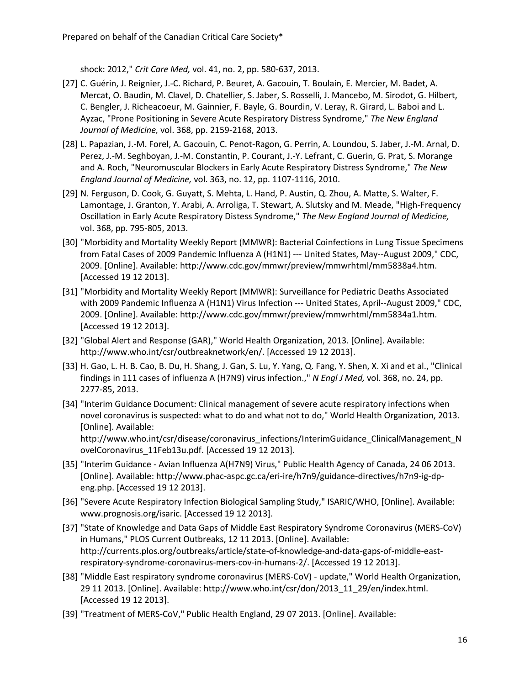shock: 2012," *Crit Care Med,* vol. 41, no. 2, pp. 580-637, 2013.

- [27] C. Guérin, J. Reignier, J.-C. Richard, P. Beuret, A. Gacouin, T. Boulain, E. Mercier, M. Badet, A. Mercat, O. Baudin, M. Clavel, D. Chatellier, S. Jaber, S. Rosselli, J. Mancebo, M. Sirodot, G. Hilbert, C. Bengler, J. Richeacoeur, M. Gainnier, F. Bayle, G. Bourdin, V. Leray, R. Girard, L. Baboi and L. Ayzac, "Prone Positioning in Severe Acute Respiratory Distress Syndrome," *The New England Journal of Medicine,* vol. 368, pp. 2159-2168, 2013.
- [28] L. Papazian, J.-M. Forel, A. Gacouin, C. Penot-Ragon, G. Perrin, A. Loundou, S. Jaber, J.-M. Arnal, D. Perez, J.-M. Seghboyan, J.-M. Constantin, P. Courant, J.-Y. Lefrant, C. Guerin, G. Prat, S. Morange and A. Roch, "Neuromuscular Blockers in Early Acute Respiratory Distress Syndrome," *The New England Journal of Medicine,* vol. 363, no. 12, pp. 1107-1116, 2010.
- [29] N. Ferguson, D. Cook, G. Guyatt, S. Mehta, L. Hand, P. Austin, Q. Zhou, A. Matte, S. Walter, F. Lamontage, J. Granton, Y. Arabi, A. Arroliga, T. Stewart, A. Slutsky and M. Meade, "High-Frequency Oscillation in Early Acute Respiratory Distess Syndrome," *The New England Journal of Medicine,*  vol. 368, pp. 795-805, 2013.
- [30] "Morbidity and Mortality Weekly Report (MMWR): Bacterial Coinfections in Lung Tissue Specimens from Fatal Cases of 2009 Pandemic Influenza A (H1N1) --- United States, May--August 2009," CDC, 2009. [Online]. Available: http://www.cdc.gov/mmwr/preview/mmwrhtml/mm5838a4.htm. [Accessed 19 12 2013].
- [31] "Morbidity and Mortality Weekly Report (MMWR): Surveillance for Pediatric Deaths Associated with 2009 Pandemic Influenza A (H1N1) Virus Infection --- United States, April--August 2009," CDC, 2009. [Online]. Available: http://www.cdc.gov/mmwr/preview/mmwrhtml/mm5834a1.htm. [Accessed 19 12 2013].
- [32] "Global Alert and Response (GAR)," World Health Organization, 2013. [Online]. Available: http://www.who.int/csr/outbreaknetwork/en/. [Accessed 19 12 2013].
- [33] H. Gao, L. H. B. Cao, B. Du, H. Shang, J. Gan, S. Lu, Y. Yang, Q. Fang, Y. Shen, X. Xi and et al., "Clinical findings in 111 cases of influenza A (H7N9) virus infection.," *N Engl J Med,* vol. 368, no. 24, pp. 2277-85, 2013.
- [34] "Interim Guidance Document: Clinical management of severe acute respiratory infections when novel coronavirus is suspected: what to do and what not to do," World Health Organization, 2013. [Online]. Available: http://www.who.int/csr/disease/coronavirus\_infections/InterimGuidance\_ClinicalManagement\_N ovelCoronavirus\_11Feb13u.pdf. [Accessed 19 12 2013].
- [35] "Interim Guidance Avian Influenza A(H7N9) Virus," Public Health Agency of Canada, 24 06 2013. [Online]. Available: http://www.phac-aspc.gc.ca/eri-ire/h7n9/guidance-directives/h7n9-ig-dpeng.php. [Accessed 19 12 2013].
- [36] "Severe Acute Respiratory Infection Biological Sampling Study," ISARIC/WHO, [Online]. Available: www.prognosis.org/isaric. [Accessed 19 12 2013].
- [37] "State of Knowledge and Data Gaps of Middle East Respiratory Syndrome Coronavirus (MERS-CoV) in Humans," PLOS Current Outbreaks, 12 11 2013. [Online]. Available: http://currents.plos.org/outbreaks/article/state-of-knowledge-and-data-gaps-of-middle-eastrespiratory-syndrome-coronavirus-mers-cov-in-humans-2/. [Accessed 19 12 2013].
- [38] "Middle East respiratory syndrome coronavirus (MERS-CoV) update," World Health Organization, 29 11 2013. [Online]. Available: http://www.who.int/csr/don/2013\_11\_29/en/index.html. [Accessed 19 12 2013].
- [39] "Treatment of MERS-CoV," Public Health England, 29 07 2013. [Online]. Available: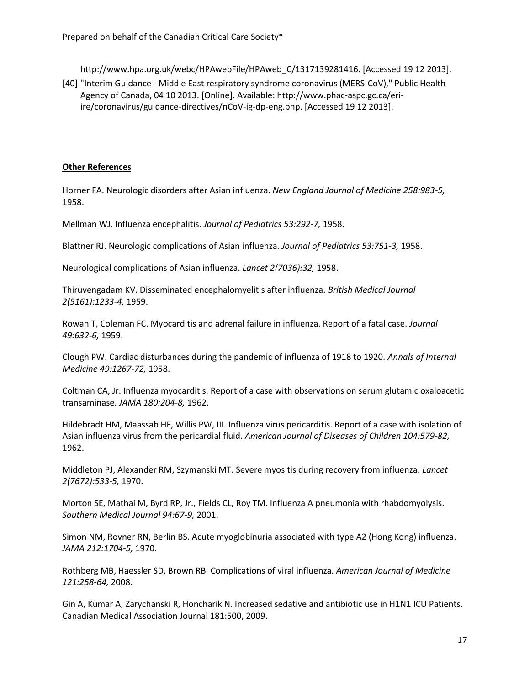http://www.hpa.org.uk/webc/HPAwebFile/HPAweb\_C/1317139281416. [Accessed 19 12 2013].

[40] "Interim Guidance - Middle East respiratory syndrome coronavirus (MERS-CoV)," Public Health Agency of Canada, 04 10 2013. [Online]. Available: http://www.phac-aspc.gc.ca/eriire/coronavirus/guidance-directives/nCoV-ig-dp-eng.php. [Accessed 19 12 2013].

#### **Other References**

Horner FA. Neurologic disorders after Asian influenza. *New England Journal of Medicine 258:983-5,* 1958.

Mellman WJ. Influenza encephalitis. *Journal of Pediatrics 53:292-7,* 1958.

Blattner RJ. Neurologic complications of Asian influenza. *Journal of Pediatrics 53:751-3,* 1958.

Neurological complications of Asian influenza. *Lancet 2(7036):32,* 1958.

Thiruvengadam KV. Disseminated encephalomyelitis after influenza. *British Medical Journal 2(5161):1233-4,* 1959.

Rowan T, Coleman FC. Myocarditis and adrenal failure in influenza. Report of a fatal case. *Journal 49:632-6,* 1959.

Clough PW. Cardiac disturbances during the pandemic of influenza of 1918 to 1920. *Annals of Internal Medicine 49:1267-72,* 1958.

Coltman CA, Jr. Influenza myocarditis. Report of a case with observations on serum glutamic oxaloacetic transaminase. *JAMA 180:204-8,* 1962.

Hildebradt HM, Maassab HF, Willis PW, III. Influenza virus pericarditis. Report of a case with isolation of Asian influenza virus from the pericardial fluid. *American Journal of Diseases of Children 104:579-82,* 1962.

Middleton PJ, Alexander RM, Szymanski MT. Severe myositis during recovery from influenza. *Lancet 2(7672):533-5,* 1970.

Morton SE, Mathai M, Byrd RP, Jr., Fields CL, Roy TM. Influenza A pneumonia with rhabdomyolysis. *Southern Medical Journal 94:67-9,* 2001.

Simon NM, Rovner RN, Berlin BS. Acute myoglobinuria associated with type A2 (Hong Kong) influenza. *JAMA 212:1704-5,* 1970.

Rothberg MB, Haessler SD, Brown RB. Complications of viral influenza. *American Journal of Medicine 121:258-64,* 2008.

Gin A, Kumar A, Zarychanski R, Honcharik N. Increased sedative and antibiotic use in H1N1 ICU Patients. Canadian Medical Association Journal 181:500, 2009.